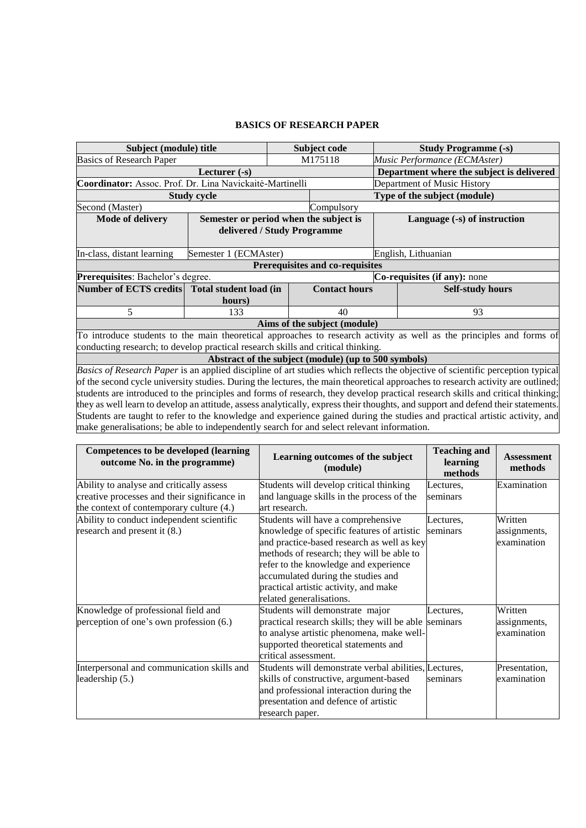## **BASICS OF RESEARCH PAPER**

| Subject (module) title                                                                                                           |                                                                       | Subject code |                                                      | <b>Study Programme (-s)</b>  |                                                                                                                             |  |  |  |
|----------------------------------------------------------------------------------------------------------------------------------|-----------------------------------------------------------------------|--------------|------------------------------------------------------|------------------------------|-----------------------------------------------------------------------------------------------------------------------------|--|--|--|
| <b>Basics of Research Paper</b>                                                                                                  |                                                                       |              | M175118                                              |                              | Music Performance (ECMAster)                                                                                                |  |  |  |
| Lecturer $(-s)$                                                                                                                  |                                                                       |              |                                                      |                              | Department where the subject is delivered                                                                                   |  |  |  |
| Coordinator: Assoc. Prof. Dr. Lina Navickaitė-Martinelli                                                                         |                                                                       |              |                                                      | Department of Music History  |                                                                                                                             |  |  |  |
| <b>Study cycle</b>                                                                                                               |                                                                       |              |                                                      | Type of the subject (module) |                                                                                                                             |  |  |  |
| Second (Master)                                                                                                                  |                                                                       |              | Compulsory                                           |                              |                                                                                                                             |  |  |  |
| <b>Mode of delivery</b>                                                                                                          | Semester or period when the subject is<br>delivered / Study Programme |              |                                                      | Language (-s) of instruction |                                                                                                                             |  |  |  |
| In-class, distant learning                                                                                                       | Semester 1 (ECMAster)                                                 |              |                                                      |                              | English, Lithuanian                                                                                                         |  |  |  |
| Prerequisites and co-requisites                                                                                                  |                                                                       |              |                                                      |                              |                                                                                                                             |  |  |  |
| Prerequisites: Bachelor's degree.<br>Co-requisites (if any): none                                                                |                                                                       |              |                                                      |                              |                                                                                                                             |  |  |  |
| Number of ECTS credits                                                                                                           | Total student load (in                                                |              | <b>Contact hours</b>                                 |                              | <b>Self-study hours</b>                                                                                                     |  |  |  |
|                                                                                                                                  | hours)                                                                |              |                                                      |                              |                                                                                                                             |  |  |  |
| 5                                                                                                                                | 133                                                                   |              | 40                                                   |                              | 93                                                                                                                          |  |  |  |
| Aims of the subject (module)                                                                                                     |                                                                       |              |                                                      |                              |                                                                                                                             |  |  |  |
| To introduce students to the main theoretical approaches to research activity as well as the principles and forms of             |                                                                       |              |                                                      |                              |                                                                                                                             |  |  |  |
| conducting research; to develop practical research skills and critical thinking.                                                 |                                                                       |              |                                                      |                              |                                                                                                                             |  |  |  |
|                                                                                                                                  |                                                                       |              | Abstract of the subject (module) (up to 500 symbols) |                              |                                                                                                                             |  |  |  |
| Basics of Research Paper is an applied discipline of art studies which reflects the objective of scientific perception typical   |                                                                       |              |                                                      |                              |                                                                                                                             |  |  |  |
| of the second cycle university studies. During the lectures, the main theoretical approaches to research activity are outlined;  |                                                                       |              |                                                      |                              |                                                                                                                             |  |  |  |
| students are introduced to the principles and forms of research, they develop practical research skills and critical thinking;   |                                                                       |              |                                                      |                              |                                                                                                                             |  |  |  |
| they as well learn to develop an attitude, assess analytically, express their thoughts, and support and defend their statements. |                                                                       |              |                                                      |                              |                                                                                                                             |  |  |  |
|                                                                                                                                  |                                                                       |              |                                                      |                              | Students are taught to refer to the knowledge and experience gained during the studies and practical artistic activity, and |  |  |  |
| make generalisations; be able to independently search for and select relevant information.                                       |                                                                       |              |                                                      |                              |                                                                                                                             |  |  |  |

| <b>Competences to be developed (learning</b><br>outcome No. in the programme) | Learning outcomes of the subject<br>(module)          | <b>Teaching and</b><br>learning<br>methods | <b>Assessment</b><br>methods |
|-------------------------------------------------------------------------------|-------------------------------------------------------|--------------------------------------------|------------------------------|
| Ability to analyse and critically assess                                      | Students will develop critical thinking               | Lectures,                                  | Examination                  |
| creative processes and their significance in                                  | and language skills in the process of the             | seminars                                   |                              |
| the context of contemporary culture (4.)                                      | art research.                                         |                                            |                              |
| Ability to conduct independent scientific                                     | Students will have a comprehensive                    | Lectures,                                  | Written                      |
| research and present it (8.)                                                  | knowledge of specific features of artistic            | seminars                                   | assignments,                 |
|                                                                               | and practice-based research as well as key            |                                            | examination                  |
|                                                                               | methods of research; they will be able to             |                                            |                              |
|                                                                               | refer to the knowledge and experience                 |                                            |                              |
|                                                                               | accumulated during the studies and                    |                                            |                              |
|                                                                               | practical artistic activity, and make                 |                                            |                              |
|                                                                               | related generalisations.                              |                                            |                              |
| Knowledge of professional field and                                           | Students will demonstrate major                       | Lectures,                                  | Written                      |
| perception of one's own profession (6.)                                       | practical research skills; they will be able          | seminars                                   | assignments,                 |
|                                                                               | to analyse artistic phenomena, make well-             |                                            | examination                  |
|                                                                               | supported theoretical statements and                  |                                            |                              |
|                                                                               | critical assessment.                                  |                                            |                              |
| Interpersonal and communication skills and                                    | Students will demonstrate verbal abilities, Lectures, |                                            | Presentation,                |
| leadership (5.)                                                               | skills of constructive, argument-based                | seminars                                   | examination                  |
|                                                                               | and professional interaction during the               |                                            |                              |
|                                                                               | presentation and defence of artistic                  |                                            |                              |
|                                                                               | research paper.                                       |                                            |                              |